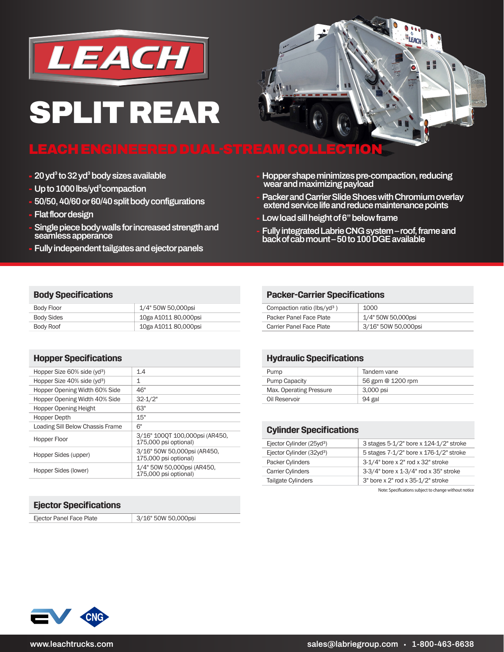

# **SPLIT REAR**

### **LEACH ENGINEERED DUAL-STREAM COLLECTION**

- **20 yd³ to 32 yd³ body sizes available**
- **Up to 1000 lbs/yd³compaction**
- **50/50, 40/60 or 60/40 split body configurations**
- **Flat floor design**
- **Single piece body walls for increased strength and seamless apperance**
- **Fully independent tailgates and ejector panels**
- **Hopper shape minimizes pre-compaction, reducing wear and maximizing payload**
- **Packer and Carrier Slide Shoes with Chromium overlay extend service life and reduce maintenance points**
- **Low load sill height of 6" below frame**
- **Fully integrated Labrie CNG system roof, frame and back of cab mount – 50 to 100 DGE available**

#### **Body Specifications**

| Body Floor | 1/4" 50W 50,000psi   |
|------------|----------------------|
| Body Sides | 10ga A1011 80,000psi |
| Body Roof  | 10ga A1011 80,000psi |

| <b>Hopper Specifications</b>            |                                                         |
|-----------------------------------------|---------------------------------------------------------|
| Hopper Size 60% side (yd <sup>3</sup> ) | 1.4                                                     |
| Hopper Size 40% side (yd <sup>3</sup> ) | 1                                                       |
| Hopper Opening Width 60% Side           | 46"                                                     |
| Hopper Opening Width 40% Side           | $32 - 1/2"$                                             |
| <b>Hopper Opening Height</b>            | 63"                                                     |
| Hopper Depth                            | 15"                                                     |
| Loading Sill Below Chassis Frame        | 6"                                                      |
| Hopper Floor                            | 3/16" 1000T 100,000psi (AR450,<br>175,000 psi optional) |
| Hopper Sides (upper)                    | 3/16" 50W 50,000psi (AR450,<br>175,000 psi optional)    |
| Hopper Sides (lower)                    | 1/4" 50W 50,000psi (AR450,<br>175,000 psi optional)     |

#### **Ejector Specifications**

Ejector Panel Face Plate 3/16" 50W 50,000psi

#### **Packer-Carrier Specifications**

| Compaction ratio (lbs/yd <sup>3</sup> ) | 1000                |
|-----------------------------------------|---------------------|
| Packer Panel Face Plate                 | 1/4" 50W 50,000psi  |
| Carrier Panel Face Plate                | 3/16" 50W 50,000psi |

#### **Hydraulic Specifications**

| Pump                    | Tandem vane       |
|-------------------------|-------------------|
| <b>Pump Capacity</b>    | 56 gpm @ 1200 rpm |
| Max. Operating Pressure | 3,000 psi         |
| Oil Reservoir           | 94 gal            |

#### **Cylinder Specifications**

| Ejector Cylinder (25yd <sup>3</sup> ) | 3 stages 5-1/2" bore x 124-1/2" stroke |
|---------------------------------------|----------------------------------------|
| Ejector Cylinder (32yd <sup>3</sup> ) | 5 stages 7-1/2" bore x 176-1/2" stroke |
| Packer Cylinders                      | 3-1/4" bore x 2" rod x 32" stroke      |
| <b>Carrier Cylinders</b>              | 3-3/4" bore x 1-3/4" rod x 35" stroke  |
| Tailgate Cylinders                    | 3" bore x 2" rod x 35-1/2" stroke      |

Note: Specifications subject to change without notice